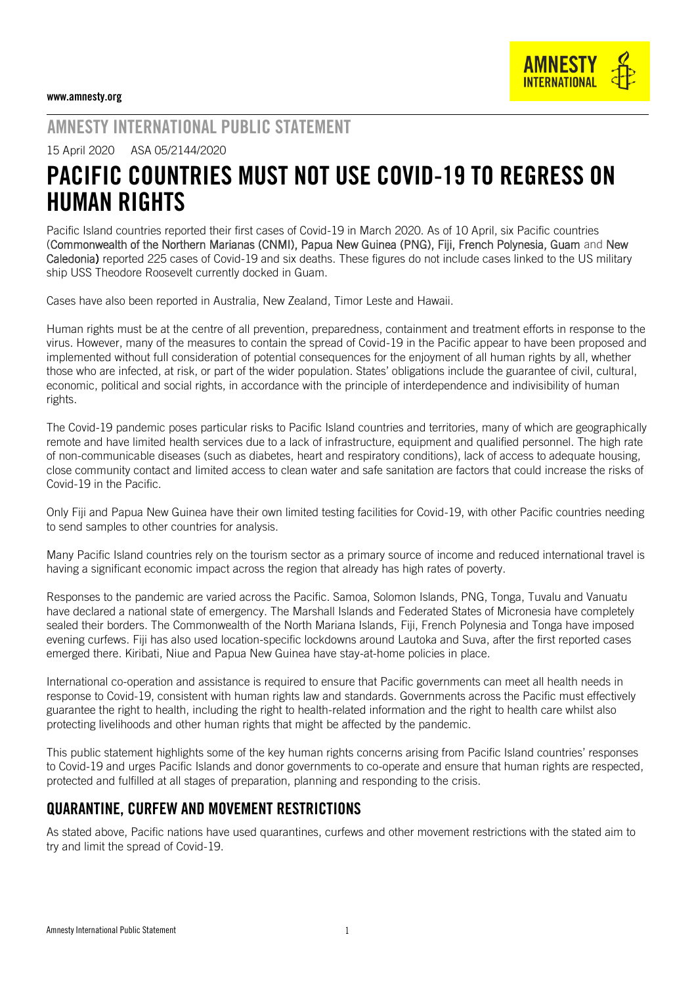## AMNESTY INTERNATIONAL PUBLIC STATEMENT

15 April 2020 ASA 05/2144/2020

# PACIFIC COUNTRIES MUST NOT USE COVID-19 TO REGRESS ON HUMAN RIGHTS

Pacific Island countries reported their first cases of Covid-19 in March 2020. As of 10 April, six Pacific countries (Commonwealth of the Northern Marianas (CNMI), Papua New Guinea (PNG), Fiji, French Polynesia, Guam and New Caledonia) reported 225 cases of Covid-19 and six deaths. These figures do not include cases linked to the US military ship USS Theodore Roosevelt currently docked in Guam.

Cases have also been reported in Australia, New Zealand, Timor Leste and Hawaii.

Human rights must be at the centre of all prevention, preparedness, containment and treatment efforts in response to the virus. However, many of the measures to contain the spread of Covid-19 in the Pacific appear to have been proposed and implemented without full consideration of potential consequences for the enjoyment of all human rights by all, whether those who are infected, at risk, or part of the wider population. States' obligations include the guarantee of civil, cultural, economic, political and social rights, in accordance with the principle of interdependence and indivisibility of human rights.

The Covid-19 pandemic poses particular risks to Pacific Island countries and territories, many of which are geographically remote and have limited health services due to a lack of infrastructure, equipment and qualified personnel. The high rate of non-communicable diseases (such as diabetes, heart and respiratory conditions), lack of access to adequate housing, close community contact and limited access to clean water and safe sanitation are factors that could increase the risks of Covid-19 in the Pacific.

Only Fiji and Papua New Guinea have their own limited testing facilities for Covid-19, with other Pacific countries needing to send samples to other countries for analysis.

Many Pacific Island countries rely on the tourism sector as a primary source of income and reduced international travel is having a significant economic impact across the region that already has high rates of poverty.

Responses to the pandemic are varied across the Pacific. Samoa, Solomon Islands, PNG, Tonga, Tuvalu and Vanuatu have declared a national state of emergency. The Marshall Islands and Federated States of Micronesia have completely sealed their borders. The Commonwealth of the North Mariana Islands, Fiji, French Polynesia and Tonga have imposed evening curfews. Fiji has also used location-specific lockdowns around Lautoka and Suva, after the first reported cases emerged there. Kiribati, Niue and Papua New Guinea have stay-at-home policies in place.

International co-operation and assistance is required to ensure that Pacific governments can meet all health needs in response to Covid-19, consistent with human rights law and standards. Governments across the Pacific must effectively guarantee the right to health, including the right to health-related information and the right to health care whilst also protecting livelihoods and other human rights that might be affected by the pandemic.

This public statement highlights some of the key human rights concerns arising from Pacific Island countries' responses to Covid-19 and urges Pacific Islands and donor governments to co-operate and ensure that human rights are respected, protected and fulfilled at all stages of preparation, planning and responding to the crisis.

### QUARANTINE, CURFEW AND MOVEMENT RESTRICTIONS

As stated above, Pacific nations have used quarantines, curfews and other movement restrictions with the stated aim to try and limit the spread of Covid-19.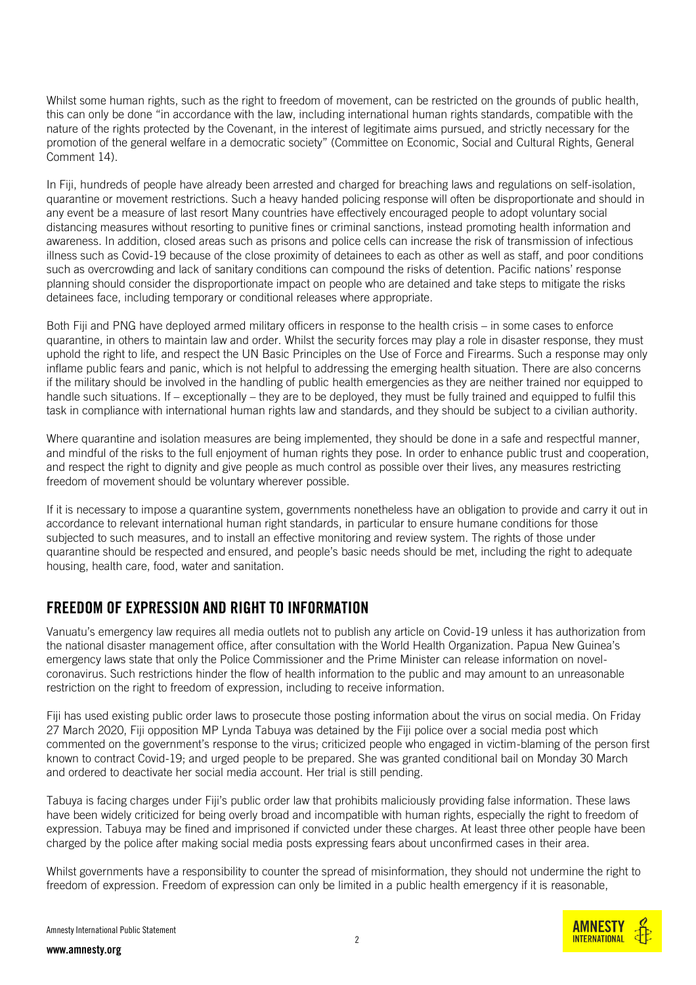Whilst some human rights, such as the right to freedom of movement, can be restricted on the grounds of public health, this can only be done "in accordance with the law, including international human rights standards, compatible with the nature of the rights protected by the Covenant, in the interest of legitimate aims pursued, and strictly necessary for the promotion of the general welfare in a democratic society" (Committee on Economic, Social and Cultural Rights, General Comment 14).

In Fiji, hundreds of people have already been arrested and charged for breaching laws and regulations on self-isolation, quarantine or movement restrictions. Such a heavy handed policing response will often be disproportionate and should in any event be a measure of last resort Many countries have effectively encouraged people to adopt voluntary social distancing measures without resorting to punitive fines or criminal sanctions, instead promoting health information and awareness. In addition, closed areas such as prisons and police cells can increase the risk of transmission of infectious illness such as Covid-19 because of the close proximity of detainees to each as other as well as staff, and poor conditions such as overcrowding and lack of sanitary conditions can compound the risks of detention. Pacific nations' response planning should consider the disproportionate impact on people who are detained and take steps to mitigate the risks detainees face, including temporary or conditional releases where appropriate.

Both Fiji and PNG have deployed armed military officers in response to the health crisis – in some cases to enforce quarantine, in others to maintain law and order. Whilst the security forces may play a role in disaster response, they must uphold the right to life, and respect the UN Basic Principles on the Use of Force and Firearms. Such a response may only inflame public fears and panic, which is not helpful to addressing the emerging health situation. There are also concerns if the military should be involved in the handling of public health emergencies as they are neither trained nor equipped to handle such situations. If – exceptionally – they are to be deployed, they must be fully trained and equipped to fulfil this task in compliance with international human rights law and standards, and they should be subject to a civilian authority.

Where quarantine and isolation measures are being implemented, they should be done in a safe and respectful manner, and mindful of the risks to the full enjoyment of human rights they pose. In order to enhance public trust and cooperation, and respect the right to dignity and give people as much control as possible over their lives, any measures restricting freedom of movement should be voluntary wherever possible.

If it is necessary to impose a quarantine system, governments nonetheless have an obligation to provide and carry it out in accordance to relevant international human right standards, in particular to ensure humane conditions for those subjected to such measures, and to install an effective monitoring and review system. The rights of those under quarantine should be respected and ensured, and people's basic needs should be met, including the right to adequate housing, health care, food, water and sanitation.

### FREEDOM OF EXPRESSION AND RIGHT TO INFORMATION

Vanuatu's emergency law requires all media outlets not to publish any article on Covid-19 unless it has authorization from the national disaster management office, after consultation with the World Health Organization. Papua New Guinea's emergency laws state that only the Police Commissioner and the Prime Minister can release information on novelcoronavirus. Such restrictions hinder the flow of health information to the public and may amount to an unreasonable restriction on the right to freedom of expression, including to receive information.

Fiji has used existing public order laws to prosecute those posting information about the virus on social media. On Friday 27 March 2020, Fiji opposition MP Lynda Tabuya was detained by the Fiji police over a social media post which commented on the government's response to the virus; criticized people who engaged in victim-blaming of the person first known to contract Covid-19; and urged people to be prepared. She was granted conditional bail on Monday 30 March and ordered to deactivate her social media account. Her trial is still pending.

Tabuya is facing charges under Fiji's public order law that prohibits maliciously providing false information. These laws have been widely criticized for being overly broad and incompatible with human rights, especially the right to freedom of expression. Tabuya may be fined and imprisoned if convicted under these charges. At least three other people have been charged by the police after making social media posts expressing fears about unconfirmed cases in their area.

Whilst governments have a responsibility to counter the spread of misinformation, they should not undermine the right to freedom of expression. Freedom of expression can only be limited in a public health emergency if it is reasonable,

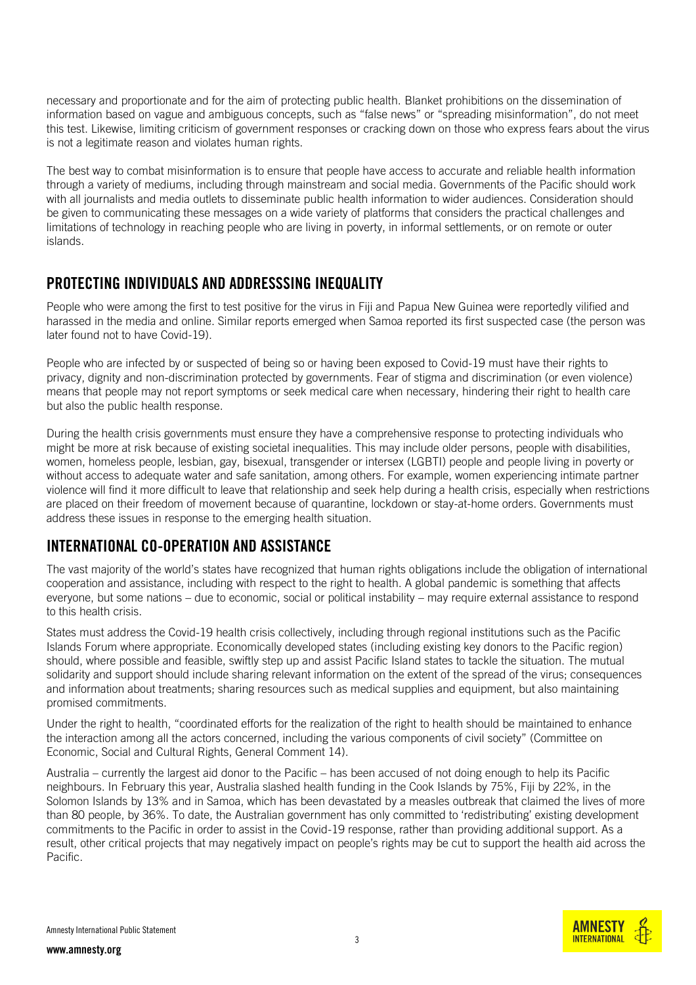necessary and proportionate and for the aim of protecting public health. Blanket prohibitions on the dissemination of information based on vague and ambiguous concepts, such as "false news" or "spreading misinformation", do not meet this test. Likewise, limiting criticism of government responses or cracking down on those who express fears about the virus is not a legitimate reason and violates human rights.

The best way to combat misinformation is to ensure that people have access to accurate and reliable health information through a variety of mediums, including through mainstream and social media. Governments of the Pacific should work with all journalists and media outlets to disseminate public health information to wider audiences. Consideration should be given to communicating these messages on a wide variety of platforms that considers the practical challenges and limitations of technology in reaching people who are living in poverty, in informal settlements, or on remote or outer islands.

#### PROTECTING INDIVIDUALS AND ADDRESSSING INEQUALITY

People who were among the first to test positive for the virus in Fiji and Papua New Guinea were reportedly vilified and harassed in the media and online. Similar reports emerged when Samoa reported its first suspected case (the person was later found not to have Covid-19).

People who are infected by or suspected of being so or having been exposed to Covid-19 must have their rights to privacy, dignity and non-discrimination protected by governments. Fear of stigma and discrimination (or even violence) means that people may not report symptoms or seek medical care when necessary, hindering their right to health care but also the public health response.

During the health crisis governments must ensure they have a comprehensive response to protecting individuals who might be more at risk because of existing societal inequalities. This may include older persons, people with disabilities, women, homeless people, lesbian, gay, bisexual, transgender or intersex (LGBTI) people and people living in poverty or without access to adequate water and safe sanitation, among others. For example, women experiencing intimate partner violence will find it more difficult to leave that relationship and seek help during a health crisis, especially when restrictions are placed on their freedom of movement because of quarantine, lockdown or stay-at-home orders. Governments must address these issues in response to the emerging health situation.

### INTERNATIONAL CO-OPERATION AND ASSISTANCE

The vast majority of the world's states have recognized that human rights obligations include the obligation of international cooperation and assistance, including with respect to the right to health. A global pandemic is something that affects everyone, but some nations – due to economic, social or political instability – may require external assistance to respond to this health crisis.

States must address the Covid-19 health crisis collectively, including through regional institutions such as the Pacific Islands Forum where appropriate. Economically developed states (including existing key donors to the Pacific region) should, where possible and feasible, swiftly step up and assist Pacific Island states to tackle the situation. The mutual solidarity and support should include sharing relevant information on the extent of the spread of the virus; consequences and information about treatments; sharing resources such as medical supplies and equipment, but also maintaining promised commitments.

Under the right to health, "coordinated efforts for the realization of the right to health should be maintained to enhance the interaction among all the actors concerned, including the various components of civil society" (Committee on Economic, Social and Cultural Rights, General Comment 14).

Australia – currently the largest aid donor to the Pacific – has been accused of not doing enough to help its Pacific neighbours. In February this year, Australia slashed health funding in the Cook Islands by 75%, Fiji by 22%, in the Solomon Islands by 13% and in Samoa, which has been devastated by a measles outbreak that claimed the lives of more than 80 people, by 36%. To date, the Australian government has only committed to 'redistributing' existing development commitments to the Pacific in order to assist in the Covid-19 response, rather than providing additional support. As a result, other critical projects that may negatively impact on people's rights may be cut to support the health aid across the Pacific.